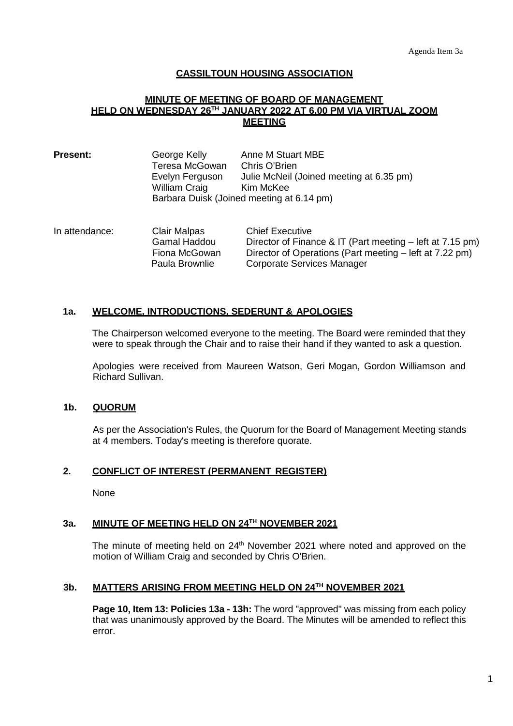# **CASSILTOUN HOUSING ASSOCIATION**

### **MINUTE OF MEETING OF BOARD OF MANAGEMENT HELD ON WEDNESDAY 26TH JANUARY 2022 AT 6.00 PM VIA VIRTUAL ZOOM MEETING**

| <b>Present:</b> | George Kelly                              | Anne M Stuart MBE                        |  |
|-----------------|-------------------------------------------|------------------------------------------|--|
|                 | Teresa McGowan                            | Chris O'Brien                            |  |
|                 | Evelyn Ferguson                           | Julie McNeil (Joined meeting at 6.35 pm) |  |
|                 | <b>William Craig</b>                      | Kim McKee                                |  |
|                 | Barbara Duisk (Joined meeting at 6.14 pm) |                                          |  |

In attendance: Clair Malpas Chief Executive<br>Gamal Haddou Director of Finar Director of Finance & IT (Part meeting – left at 7.15 pm) Fiona McGowan Director of Operations (Part meeting – left at 7.22 pm) Paula Brownlie Corporate Services Manager

# **1a. WELCOME, INTRODUCTIONS, SEDERUNT & APOLOGIES**

The Chairperson welcomed everyone to the meeting. The Board were reminded that they were to speak through the Chair and to raise their hand if they wanted to ask a question.

Apologies were received from Maureen Watson, Geri Mogan, Gordon Williamson and Richard Sullivan.

# **1b. QUORUM**

As per the Association's Rules, the Quorum for the Board of Management Meeting stands at 4 members. Today's meeting is therefore quorate.

### **2. CONFLICT OF INTEREST (PERMANENT REGISTER)**

None

### **3a. MINUTE OF MEETING HELD ON 24TH NOVEMBER 2021**

The minute of meeting held on 24<sup>th</sup> November 2021 where noted and approved on the motion of William Craig and seconded by Chris O'Brien.

### **3b. MATTERS ARISING FROM MEETING HELD ON 24TH NOVEMBER 2021**

**Page 10, Item 13: Policies 13a - 13h:** The word "approved" was missing from each policy that was unanimously approved by the Board. The Minutes will be amended to reflect this error.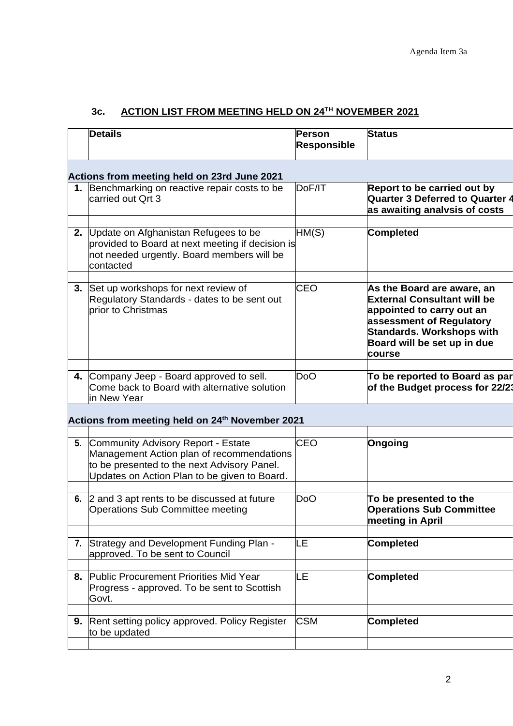# **3c. ACTION LIST FROM MEETING HELD ON 24TH NOVEMBER 2021**

|    | <b>Details</b>                                                                                                                                                                 | Person<br><b>Responsible</b> | <b>Status</b>                                                                                                                                                                                   |
|----|--------------------------------------------------------------------------------------------------------------------------------------------------------------------------------|------------------------------|-------------------------------------------------------------------------------------------------------------------------------------------------------------------------------------------------|
|    | Actions from meeting held on 23rd June 2021                                                                                                                                    |                              |                                                                                                                                                                                                 |
|    | 1. Benchmarking on reactive repair costs to be<br>carried out Qrt 3                                                                                                            | DoF/IT                       | Report to be carried out by<br><b>Quarter 3 Deferred to Quarter 4</b><br>as awaiting analvsis of costs                                                                                          |
| 2. | Update on Afghanistan Refugees to be<br>provided to Board at next meeting if decision is<br>not needed urgently. Board members will be<br>contacted                            | HM(S)                        | <b>Completed</b>                                                                                                                                                                                |
| 3. | Set up workshops for next review of<br>Regulatory Standards - dates to be sent out<br>prior to Christmas                                                                       | CEO                          | As the Board are aware, an<br><b>External Consultant will be</b><br>appointed to carry out an<br>assessment of Regulatory<br>Standards. Workshops with<br>Board will be set up in due<br>course |
|    | 4. Company Jeep - Board approved to sell.<br>Come back to Board with alternative solution<br>in New Year                                                                       | DoO                          | To be reported to Board as par<br>of the Budget process for 22/23                                                                                                                               |
|    | Actions from meeting held on 24 <sup>th</sup> November 2021                                                                                                                    |                              |                                                                                                                                                                                                 |
| 5. | Community Advisory Report - Estate<br>Management Action plan of recommendations<br>to be presented to the next Advisory Panel.<br>Updates on Action Plan to be given to Board. | CEO                          | Ongoing                                                                                                                                                                                         |
|    | 6. 2 and 3 apt rents to be discussed at future<br>Operations Sub Committee meeting                                                                                             | DoO                          | To be presented to the<br><b>Operations Sub Committee</b><br>meeting in April                                                                                                                   |
|    | 7. Strategy and Development Funding Plan -<br>approved. To be sent to Council                                                                                                  | LE                           | <b>Completed</b>                                                                                                                                                                                |
|    | 8. Public Procurement Priorities Mid Year<br>Progress - approved. To be sent to Scottish<br>Govt.                                                                              | LE                           | <b>Completed</b>                                                                                                                                                                                |
| 9. | Rent setting policy approved. Policy Register<br>to be updated                                                                                                                 | <b>CSM</b>                   | <b>Completed</b>                                                                                                                                                                                |
|    |                                                                                                                                                                                |                              |                                                                                                                                                                                                 |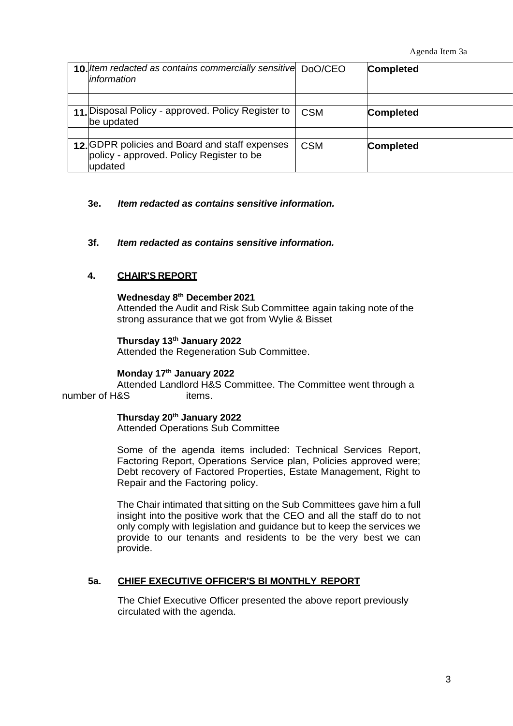| 10. Item redacted as contains commercially sensitive DoO/CEO<br>information                           |            | <b>Completed</b> |
|-------------------------------------------------------------------------------------------------------|------------|------------------|
|                                                                                                       |            |                  |
| 11. Disposal Policy - approved. Policy Register to<br>be updated                                      | <b>CSM</b> | <b>Completed</b> |
|                                                                                                       |            |                  |
| 12. GDPR policies and Board and staff expenses<br>policy - approved. Policy Register to be<br>updated | <b>CSM</b> | <b>Completed</b> |

# **3e.** *Item redacted as contains sensitive information.*

# **3f.** *Item redacted as contains sensitive information.*

# **4. CHAIR'S REPORT**

#### **Wednesday 8 th December 2021**

Attended the Audit and Risk Sub Committee again taking note of the strong assurance that we got from Wylie & Bisset

#### **Thursday 13 th January 2022**

Attended the Regeneration Sub Committee.

### **Monday 17th January 2022**

Attended Landlord H&S Committee. The Committee went through a number of H&S items.

### **Thursday 20th January 2022**

Attended Operations Sub Committee

Some of the agenda items included: Technical Services Report, Factoring Report, Operations Service plan, Policies approved were; Debt recovery of Factored Properties, Estate Management, Right to Repair and the Factoring policy.

The Chair intimated that sitting on the Sub Committees gave him a full insight into the positive work that the CEO and all the staff do to not only comply with legislation and guidance but to keep the services we provide to our tenants and residents to be the very best we can provide.

### **5a. CHIEF EXECUTIVE OFFICER'S Bl MONTHLY REPORT**

The Chief Executive Officer presented the above report previously circulated with the agenda.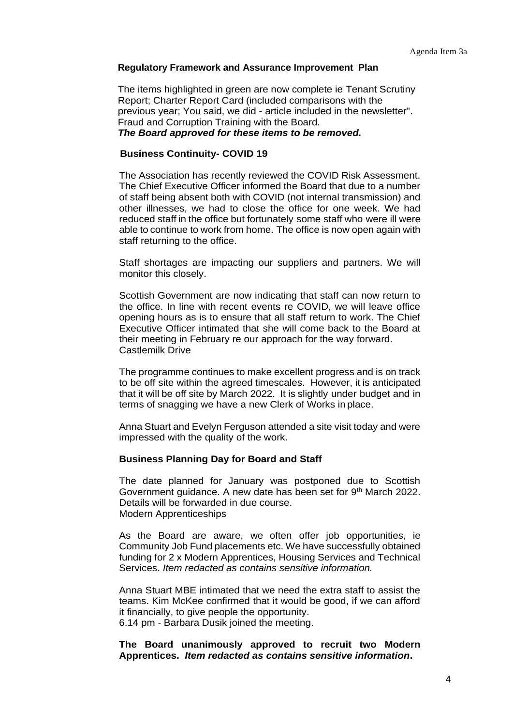### **Regulatory Framework and Assurance Improvement Plan**

The items highlighted in green are now complete ie Tenant Scrutiny Report; Charter Report Card (included comparisons with the previous year; You said, we did - article included in the newsletter". Fraud and Corruption Training with the Board.

### *The Board approved for these items to be removed.*

### **Business Continuity- COVID 19**

The Association has recently reviewed the COVID Risk Assessment. The Chief Executive Officer informed the Board that due to a number of staff being absent both with COVID (not internal transmission) and other illnesses, we had to close the office for one week. We had reduced staff in the office but fortunately some staff who were ill were able to continue to work from home. The office is now open again with staff returning to the office.

Staff shortages are impacting our suppliers and partners. We will monitor this closely.

Scottish Government are now indicating that staff can now return to the office. In line with recent events re COVID, we will leave office opening hours as is to ensure that all staff return to work. The Chief Executive Officer intimated that she will come back to the Board at their meeting in February re our approach for the way forward. Castlemilk Drive

The programme continues to make excellent progress and is on track to be off site within the agreed timescales. However, it is anticipated that it will be off site by March 2022. It is slightly under budget and in terms of snagging we have a new Clerk of Works in place.

Anna Stuart and Evelyn Ferguson attended a site visit today and were impressed with the quality of the work.

### **Business Planning Day for Board and Staff**

The date planned for January was postponed due to Scottish Government guidance. A new date has been set for 9<sup>th</sup> March 2022. Details will be forwarded in due course. Modern Apprenticeships

As the Board are aware, we often offer job opportunities, ie Community Job Fund placements etc. We have successfully obtained funding for 2 x Modern Apprentices, Housing Services and Technical Services. *Item redacted as contains sensitive information.*

Anna Stuart MBE intimated that we need the extra staff to assist the teams. Kim McKee confirmed that it would be good, if we can afford it financially, to give people the opportunity. 6.14 pm - Barbara Dusik joined the meeting.

**The Board unanimously approved to recruit two Modern Apprentices.** *Item redacted as contains sensitive information***.**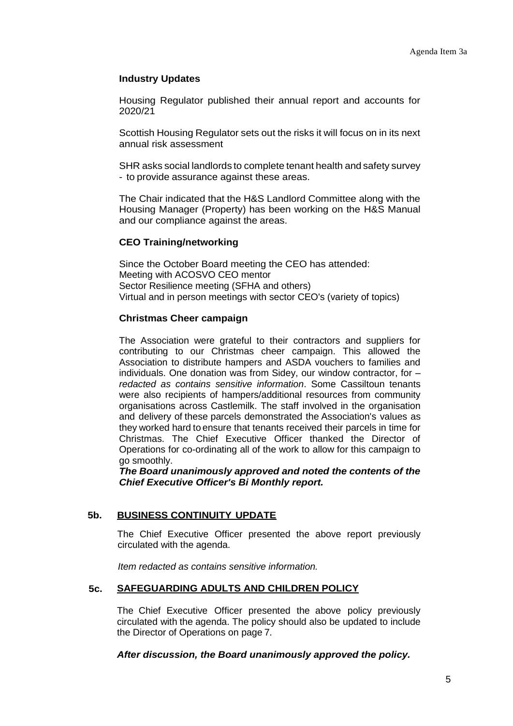# **Industry Updates**

Housing Regulator published their annual report and accounts for 2020/21

Scottish Housing Regulator sets out the risks it will focus on in its next annual risk assessment

SHR asks social landlords to complete tenant health and safety survey - to provide assurance against these areas.

The Chair indicated that the H&S Landlord Committee along with the Housing Manager (Property) has been working on the H&S Manual and our compliance against the areas.

# **CEO Training/networking**

Since the October Board meeting the CEO has attended: Meeting with ACOSVO CEO mentor Sector Resilience meeting (SFHA and others) Virtual and in person meetings with sector CEO's (variety of topics)

# **Christmas Cheer campaign**

The Association were grateful to their contractors and suppliers for contributing to our Christmas cheer campaign. This allowed the Association to distribute hampers and ASDA vouchers to families and individuals. One donation was from Sidey, our window contractor, for – *redacted as contains sensitive information*. Some Cassiltoun tenants were also recipients of hampers/additional resources from community organisations across Castlemilk. The staff involved in the organisation and delivery of these parcels demonstrated the Association's values as they worked hard to ensure that tenants received their parcels in time for Christmas. The Chief Executive Officer thanked the Director of Operations for co-ordinating all of the work to allow for this campaign to go smoothly.

*The Board unanimously approved and noted the contents of the Chief Executive Officer's Bi Monthly report.*

# **5b. BUSINESS CONTINUITY UPDATE**

The Chief Executive Officer presented the above report previously circulated with the agenda.

*Item redacted as contains sensitive information.*

# **5c. SAFEGUARDING ADULTS AND CHILDREN POLICY**

The Chief Executive Officer presented the above policy previously circulated with the agenda. The policy should also be updated to include the Director of Operations on page 7.

*After discussion, the Board unanimously approved the policy.*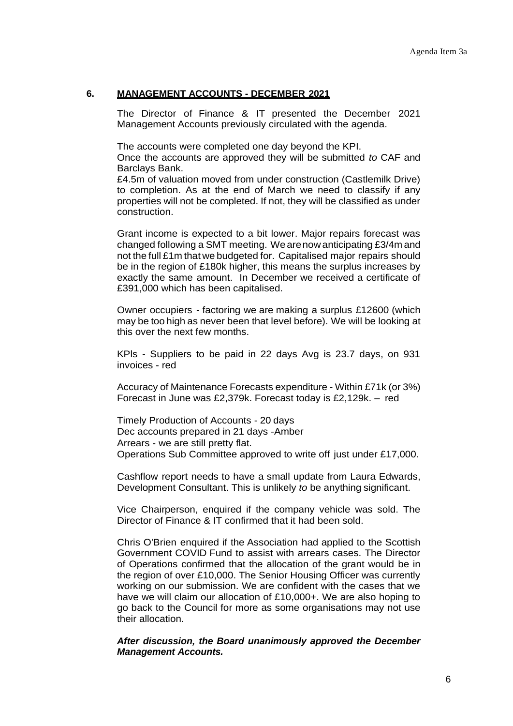# **6. MANAGEMENT ACCOUNTS - DECEMBER 2021**

The Director of Finance & IT presented the December 2021 Management Accounts previously circulated with the agenda.

The accounts were completed one day beyond the KPI.

Once the accounts are approved they will be submitted *to* CAF and Barclays Bank.

£4.5m of valuation moved from under construction (Castlemilk Drive) to completion. As at the end of March we need to classify if any properties will not be completed. If not, they will be classified as under construction.

Grant income is expected to a bit lower. Major repairs forecast was changed following a SMT meeting. Wearenow anticipating £3/4m and not the full £1m that we budgeted for. Capitalised major repairs should be in the region of £180k higher, this means the surplus increases by exactly the same amount. In December we received a certificate of £391,000 which has been capitalised.

Owner occupiers - factoring we are making a surplus £12600 (which may be too high as never been that level before). We will be looking at this over the next few months.

KPls - Suppliers to be paid in 22 days Avg is 23.7 days, on 931 invoices - red

Accuracy of Maintenance Forecasts expenditure - Within £71k (or 3%) Forecast in June was £2,379k. Forecast today is £2,129k. – red

Timely Production of Accounts - 20 days Dec accounts prepared in 21 days -Amber Arrears - we are still pretty flat. Operations Sub Committee approved to write off just under £17,000.

Cashflow report needs to have a small update from Laura Edwards, Development Consultant. This is unlikely *to* be anything significant.

Vice Chairperson, enquired if the company vehicle was sold. The Director of Finance & IT confirmed that it had been sold.

Chris O'Brien enquired if the Association had applied to the Scottish Government COVID Fund to assist with arrears cases. The Director of Operations confirmed that the allocation of the grant would be in the region of over £10,000. The Senior Housing Officer was currently working on our submission. We are confident with the cases that we have we will claim our allocation of £10,000+. We are also hoping to go back to the Council for more as some organisations may not use their allocation.

*After discussion, the Board unanimously approved the December Management Accounts.*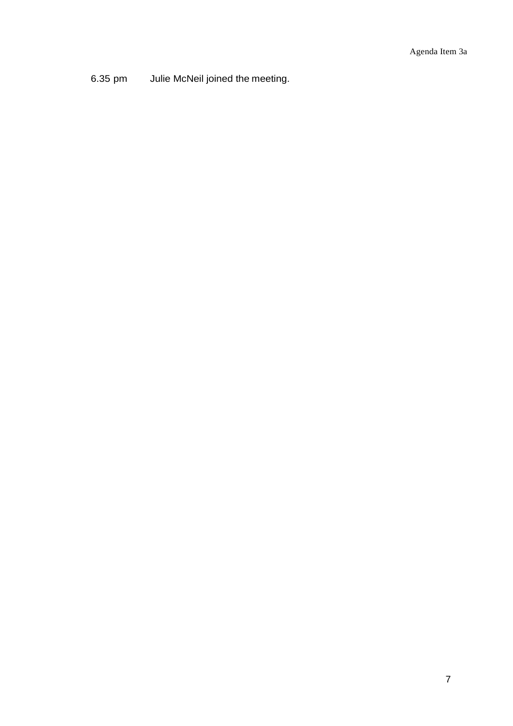6.35 pm Julie McNeil joined the meeting.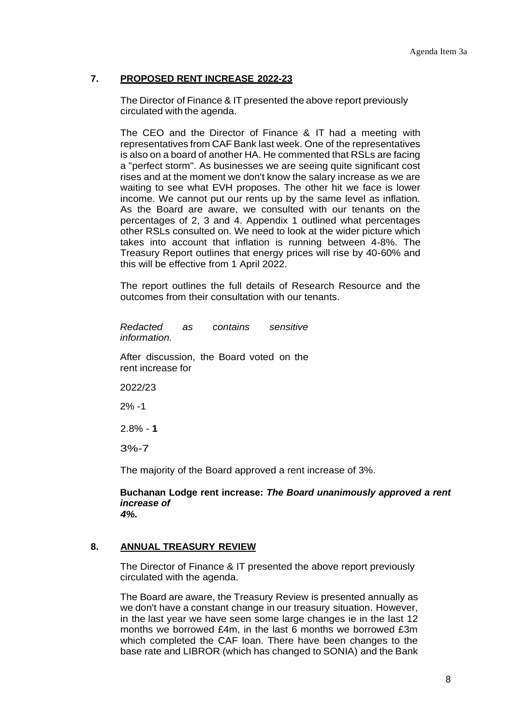# **7. PROPOSED RENT INCREASE 2022-23**

The Director of Finance & IT presented the above report previously circulated with the agenda.

The CEO and the Director of Finance & IT had a meeting with representatives from CAF Bank last week. One of the representatives is also on a board of another HA. He commented that RSLs are facing a "perfect storm". As businesses we are seeing quite significant cost rises and at the moment we don't know the salary increase as we are waiting to see what EVH proposes. The other hit we face is lower income. We cannot put our rents up by the same level as inflation. As the Board are aware, we consulted with our tenants on the percentages of 2, 3 and 4. Appendix 1 outlined what percentages other RSLs consulted on. We need to look at the wider picture which takes into account that inflation is running between 4-8%. The Treasury Report outlines that energy prices will rise by 40-60% and this will be effective from 1 April 2022.

The report outlines the full details of Research Resource and the outcomes from their consultation with our tenants.

*Redacted as contains sensitive information.*

After discussion, the Board voted on the rent increase for

2022/23

2% -1

2.8% - **1**

3%-7

The majority of the Board approved a rent increase of 3%.

**Buchanan Lodge rent increase:** *The Board unanimously approved a rent increase of 4%.*

# **8. ANNUAL TREASURY REVIEW**

The Director of Finance & IT presented the above report previously circulated with the agenda.

The Board are aware, the Treasury Review is presented annually as we don't have a constant change in our treasury situation. However, in the last year we have seen some large changes ie in the last 12 months we borrowed £4m, in the last 6 months we borrowed £3m which completed the CAF loan. There have been changes to the base rate and LIBROR (which has changed to SONIA) and the Bank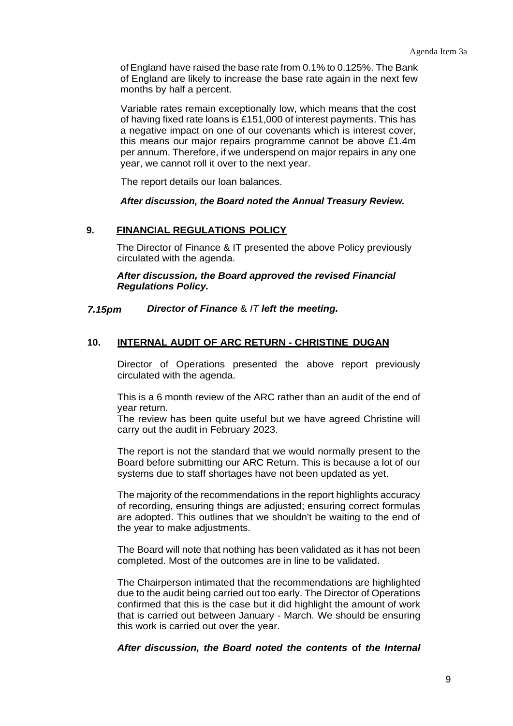of England have raised the base rate from 0.1% to 0.125%. The Bank of England are likely to increase the base rate again in the next few months by half a percent.

Variable rates remain exceptionally low, which means that the cost of having fixed rate loans is £151,000 of interest payments. This has a negative impact on one of our covenants which is interest cover, this means our major repairs programme cannot be above £1.4m per annum. Therefore, if we underspend on major repairs in any one year, we cannot roll it over to the next year.

The report details our loan balances.

*After discussion, the Board noted the Annual Treasury Review.*

# **9. FINANCIAL REGULATIONS POLICY**

The Director of Finance & IT presented the above Policy previously circulated with the agenda.

# *After discussion, the Board approved the revised Financial Regulations Policy.*

# *7.15pm Director of Finance* & *IT left the meeting.*

# **10. INTERNAL AUDIT OF ARC RETURN - CHRISTINE DUGAN**

Director of Operations presented the above report previously circulated with the agenda.

This is a 6 month review of the ARC rather than an audit of the end of year return.

The review has been quite useful but we have agreed Christine will carry out the audit in February 2023.

The report is not the standard that we would normally present to the Board before submitting our ARC Return. This is because a lot of our systems due to staff shortages have not been updated as yet.

The majority of the recommendations in the report highlights accuracy of recording, ensuring things are adjusted; ensuring correct formulas are adopted. This outlines that we shouldn't be waiting to the end of the year to make adjustments.

The Board will note that nothing has been validated as it has not been completed. Most of the outcomes are in line to be validated.

The Chairperson intimated that the recommendations are highlighted due to the audit being carried out too early. The Director of Operations confirmed that this is the case but it did highlight the amount of work that is carried out between January - March. We should be ensuring this work is carried out over the year.

# *After discussion, the Board noted the contents* **of** *the Internal*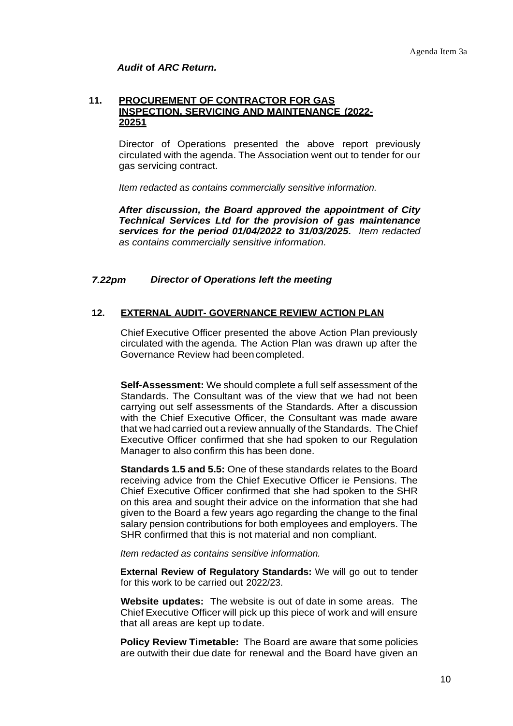# *Audit* **of** *ARC Return.*

### **11. PROCUREMENT OF CONTRACTOR FOR GAS INSPECTION, SERVICING AND MAINTENANCE (2022- 20251**

Director of Operations presented the above report previously circulated with the agenda. The Association went out to tender for our gas servicing contract.

*Item redacted as contains commercially sensitive information.*

*After discussion, the Board approved the appointment of City Technical Services Ltd for the provision of gas maintenance services for the period 01/04/2022 to 31/03/2025. Item redacted as contains commercially sensitive information.*

# *7.22pm Director of Operations left the meeting*

# **12. EXTERNAL AUDIT- GOVERNANCE REVIEW ACTION PLAN**

Chief Executive Officer presented the above Action Plan previously circulated with the agenda. The Action Plan was drawn up after the Governance Review had been completed.

**Self-Assessment:** We should complete a full self assessment of the Standards. The Consultant was of the view that we had not been carrying out self assessments of the Standards. After a discussion with the Chief Executive Officer, the Consultant was made aware that we had carried out a review annually of the Standards. TheChief Executive Officer confirmed that she had spoken to our Regulation Manager to also confirm this has been done.

**Standards 1.5 and 5.5:** One of these standards relates to the Board receiving advice from the Chief Executive Officer ie Pensions. The Chief Executive Officer confirmed that she had spoken to the SHR on this area and sought their advice on the information that she had given to the Board a few years ago regarding the change to the final salary pension contributions for both employees and employers. The SHR confirmed that this is not material and non compliant.

*Item redacted as contains sensitive information.*

**External Review of Regulatory Standards:** We will go out to tender for this work to be carried out 2022/23.

**Website updates:** The website is out of date in some areas. The Chief Executive Officer will pick up this piece of work and will ensure that all areas are kept up todate.

**Policy Review Timetable:** The Board are aware that some policies are outwith their due date for renewal and the Board have given an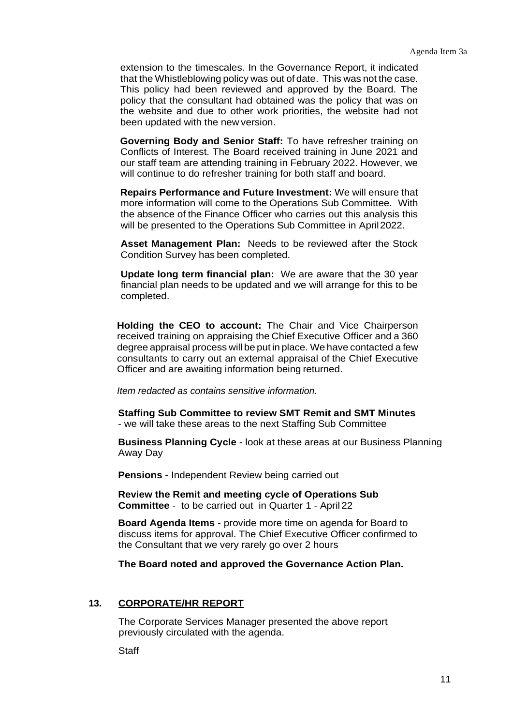extension to the timescales. In the Governance Report, it indicated that the Whistleblowing policy was out of date. This was not the case. This policy had been reviewed and approved by the Board. The policy that the consultant had obtained was the policy that was on the website and due to other work priorities, the website had not been updated with the new version.

**Governing Body and Senior Staff:** To have refresher training on Conflicts of Interest. The Board received training in June 2021 and our staff team are attending training in February 2022. However, we will continue to do refresher training for both staff and board.

**Repairs Performance and Future Investment:** We will ensure that more information will come to the Operations Sub Committee. With the absence of the Finance Officer who carries out this analysis this will be presented to the Operations Sub Committee in April2022.

**Asset Management Plan:** Needs to be reviewed after the Stock Condition Survey has been completed.

**Update long term financial plan:** We are aware that the 30 year financial plan needs to be updated and we will arrange for this to be completed.

**Holding the CEO to account:** The Chair and Vice Chairperson received training on appraising the Chief Executive Officer and a 360 degree appraisal process will be put in place. We have contacted a few consultants to carry out an external appraisal of the Chief Executive Officer and are awaiting information being returned.

*Item redacted as contains sensitive information.*

**Staffing Sub Committee to review SMT Remit and SMT Minutes**  - we will take these areas to the next Staffing Sub Committee

**Business Planning Cycle** - look at these areas at our Business Planning Away Day

**Pensions** - Independent Review being carried out

**Review the Remit and meeting cycle of Operations Sub Committee** - to be carried out in Quarter 1 - April 22

**Board Agenda Items** - provide more time on agenda for Board to discuss items for approval. The Chief Executive Officer confirmed to the Consultant that we very rarely go over 2 hours

**The Board noted and approved the Governance Action Plan.**

# **13. CORPORATE/HR REPORT**

The Corporate Services Manager presented the above report previously circulated with the agenda.

**Staff**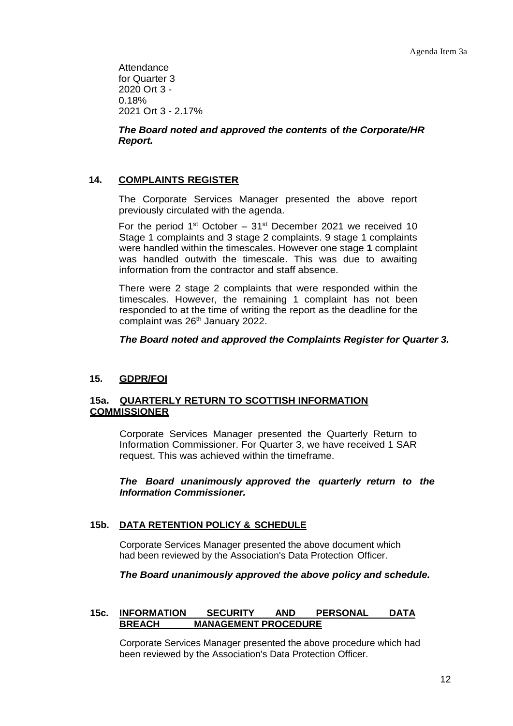**Attendance** for Quarter 3 2020 Ort 3 - 0.18% 2021 Ort 3 - 2.17%

*The Board noted and approved the contents* **of** *the Corporate/HR Report.*

# **14. COMPLAINTS REGISTER**

The Corporate Services Manager presented the above report previously circulated with the agenda.

For the period  $1<sup>st</sup>$  October –  $31<sup>st</sup>$  December 2021 we received 10 Stage 1 complaints and 3 stage 2 complaints. 9 stage 1 complaints were handled within the timescales. However one stage **1** complaint was handled outwith the timescale. This was due to awaiting information from the contractor and staff absence.

There were 2 stage 2 complaints that were responded within the timescales. However, the remaining 1 complaint has not been responded to at the time of writing the report as the deadline for the complaint was 26<sup>th</sup> January 2022.

*The Board noted and approved the Complaints Register for Quarter 3.*

# **15. GDPR/FOI**

# **15a. QUARTERLY RETURN TO SCOTTISH INFORMATION COMMISSIONER**

Corporate Services Manager presented the Quarterly Return to Information Commissioner. For Quarter 3, we have received 1 SAR request. This was achieved within the timeframe.

*The Board unanimously approved the quarterly return to the Information Commissioner.*

# **15b. DATA RETENTION POLICY & SCHEDULE**

Corporate Services Manager presented the above document which had been reviewed by the Association's Data Protection Officer.

# *The Board unanimously approved the above policy and schedule.*

# **15c. INFORMATION SECURITY AND PERSONAL DATA BREACH MANAGEMENT PROCEDURE**

Corporate Services Manager presented the above procedure which had been reviewed by the Association's Data Protection Officer.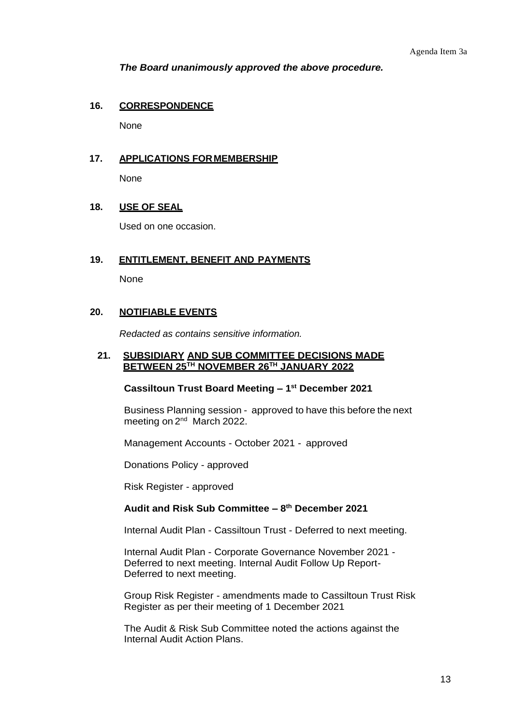*The Board unanimously approved the above procedure.*

### **16. CORRESPONDENCE**

None

# **17. APPLICATIONS FORMEMBERSHIP**

None

### **18. USE OF SEAL**

Used on one occasion.

### **19. ENTITLEMENT, BENEFIT AND PAYMENTS**

None

### **20. NOTIFIABLE EVENTS**

*Redacted as contains sensitive information.*

### **21. SUBSIDIARY AND SUB COMMITTEE DECISIONS MADE BETWEEN 25TH NOVEMBER 26TH JANUARY 2022**

### **Cassiltoun Trust Board Meeting – 1 st December 2021**

Business Planning session - approved to have this before the next meeting on 2<sup>nd</sup> March 2022.

Management Accounts - October 2021 - approved

Donations Policy - approved

Risk Register - approved

### **Audit and Risk Sub Committee – 8 th December 2021**

Internal Audit Plan - Cassiltoun Trust - Deferred to next meeting.

Internal Audit Plan - Corporate Governance November 2021 - Deferred to next meeting. Internal Audit Follow Up Report-Deferred to next meeting.

Group Risk Register - amendments made to Cassiltoun Trust Risk Register as per their meeting of 1 December 2021

The Audit & Risk Sub Committee noted the actions against the Internal Audit Action Plans.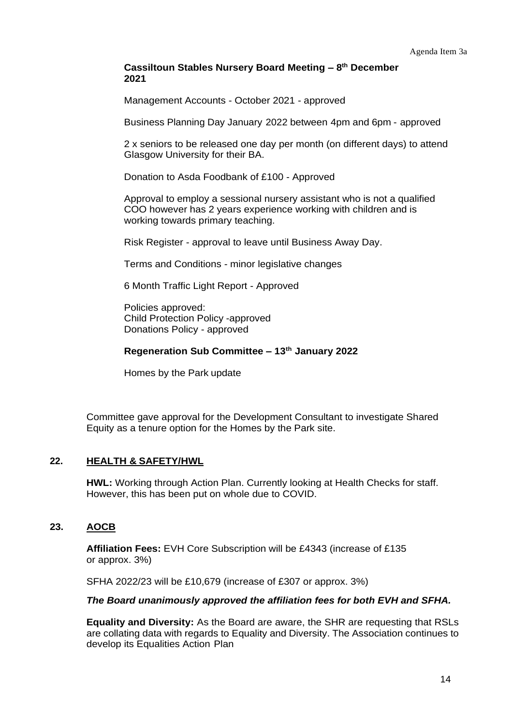# **Cassiltoun Stables Nursery Board Meeting – 8 th December 2021**

Management Accounts - October 2021 - approved

Business Planning Day January 2022 between 4pm and 6pm - approved

2 x seniors to be released one day per month (on different days) to attend Glasgow University for their BA.

Donation to Asda Foodbank of £100 - Approved

Approval to employ a sessional nursery assistant who is not a qualified COO however has 2 years experience working with children and is working towards primary teaching.

Risk Register - approval to leave until Business Away Day.

Terms and Conditions - minor legislative changes

6 Month Traffic Light Report - Approved

Policies approved: Child Protection Policy -approved Donations Policy - approved

# **Regeneration Sub Committee – 13th January 2022**

Homes by the Park update

Committee gave approval for the Development Consultant to investigate Shared Equity as a tenure option for the Homes by the Park site.

# **22. HEALTH & SAFETY/HWL**

**HWL:** Working through Action Plan. Currently looking at Health Checks for staff. However, this has been put on whole due to COVID.

# **23. AOCB**

**Affiliation Fees:** EVH Core Subscription will be £4343 (increase of £135 or approx. 3%)

SFHA 2022/23 will be £10,679 (increase of £307 or approx. 3%)

# *The Board unanimously approved the affiliation fees for both EVH and SFHA.*

**Equality and Diversity:** As the Board are aware, the SHR are requesting that RSLs are collating data with regards to Equality and Diversity. The Association continues to develop its Equalities Action Plan